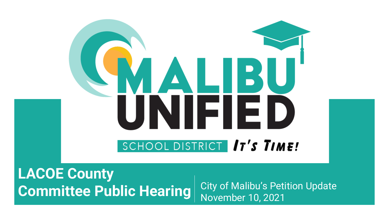# NALB! NIFIEI SCHOOL DISTRICT 17'S TIME!

**LACOE County Committee Public Hearing** City of Malibu's Petition Update

November 10, 2021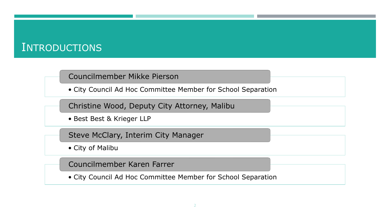#### **INTRODUCTIONS**

#### Councilmember Mikke Pierson

• City Council Ad Hoc Committee Member for School Separation

Christine Wood, Deputy City Attorney, Malibu

• Best Best & Krieger LLP

Steve McClary, Interim City Manager

• City of Malibu

Councilmember Karen Farrer

• City Council Ad Hoc Committee Member for School Separation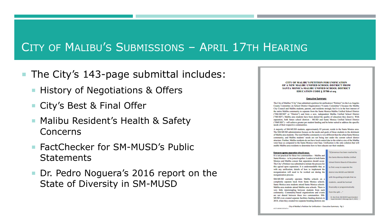# CITY OF MALIBU'S SUBMISSIONS – APRIL 17TH HEARING

- The City's 143-page submittal includes:
	- History of Negotiations & Offers
	- City's Best & Final Offer
	- Malibu Resident's Health & Safety Concerns
	- FactChecker for SM-MUSD's Public **Statements**
	- Dr. Pedro Noguera's 2016 report on the State of Diversity in SM-MUSD

**CITY OF MALIBU'S PETITION FOR UNIFICATION** OF A NEW MALIBU UNIFIED SCHOOL DISTRICT FROM SANTA MONICA-MALIBU UNIFIED SCHOOL DISTRICT **EDUCATION CODE § 35700 et seq** 

#### **Executive Summary**

The City of Malibu ("City") has submitted a petition for unification ("Petition") to the Los Angeles County Committee on School District Organization ("County Committee") because the Malibu City Council and Malibu students, parents, and residents strongly feel it is in the best interest of the entire Malibu community to separate from the Santa Monica-Malibu Unified School District ("SM-MUSD" or "District") and form a new, independent Malibu Unified School District ("MUSD"). Malibu area students have been denied the quality of education they deserve. With separation, both future school districts - MUSD and Santa Monica Unified School District ("SMUSD") - will achieve greater per student funding and be better suited to address the specific needs of their respective communities.

A majority of SM-MUSD students, approximately 85 percent, reside in the Santa Monica area. The SM-MUSD administration focuses on the needs and goals of those students to the detriment of Malibu area students. The rural Malibu community is very different than the urban Santa Monica community, and Malibu students' needs are not being met under the current school district structure. Further, Malibu residents do not have local control due to the relative size of the Malibu voter base as compared to the Santa Monica voter base. Unification is the only solution that will enable Malibu-area residents to determine how to best educate our their students.

#### Everyone agrees separation should occur.

It is not practical for these two communities - Malibu and Santa Monica - to be joined together. Leaders in both Santa Monica and Malibu concur that separation should occur. The City's Petition was submitted to initiate the process for this agreed upon separation. It is understandable that, as with any unification, details of how to implement the reorganization will need to be worked out during the reorganization process.

SM-MUSD currently operates Malibu schools on a completely separate track from Santa Monica schools. Santa Monica area students attend Santa Monica schools. Malibu area students attend Malibu area schools. There is very little intermingling between students from each community. Community-based organizations and events are not shared between these two communities. SM-MUSD even created separate facilities funding districts in 2018, when they created two separate bonding districts one

[C]onsensus has been reached by the Santa Monica-Malibu Unified **School District Board of Education** to find a way to separate the district into MUSD and SMUSD with the guiding principle that no students...would be harmed financially or programmatically from the split...." Dr. Ben Drati, SM-MUSD Superintende Superintendent's Message (Apr 9, 2021)

City of Malibu's Petition for Unification - Executive Summary - Pg 1 65273.0030033876474.1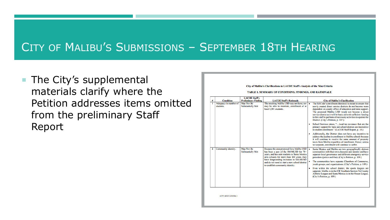# CITY OF MALIBU'S SUBMISSIONS – SEPTEMBER 18TH HEARING

■ The City's supplemental materials clarify where the Petition addresses items omitted from the preliminary Staff Report

#### City of Malibu's Clarifications to LACOE Staff's Analysis of the Nine Criteria

TABLE 1. SUMMARY OF CONDITIONS, FINDINGS, AND RATIONALE

|   |                                    | <b>LACOE Staff's</b>                   |                                                                                                                                                                                                                                                                                |   |                                                                                                                                                                                                                                                                                                                                                                                                                            |
|---|------------------------------------|----------------------------------------|--------------------------------------------------------------------------------------------------------------------------------------------------------------------------------------------------------------------------------------------------------------------------------|---|----------------------------------------------------------------------------------------------------------------------------------------------------------------------------------------------------------------------------------------------------------------------------------------------------------------------------------------------------------------------------------------------------------------------------|
| # | <b>Condition</b>                   | <b>Preliminary Finding</b>             | <b>LACOE Staff's Rationale</b>                                                                                                                                                                                                                                                 |   | <b>City of Malibu's Clarification</b>                                                                                                                                                                                                                                                                                                                                                                                      |
|   | Adequacy in number of<br>students. | May Not Be<br><b>Substantially Met</b> | The resulting Malibu USD may not have, nor<br>may be able to maintain, enrollment of at<br>least 1,501 students.                                                                                                                                                               |   | The Ed Code's enrollment threshold is meant to ensure that<br>newly created direct service districts do not become more<br>dependent on county office of education and state support.<br>The proposed Malibu USD would not become a direct<br>service district as it will be basic aid with sufficient funding<br>to hire staff to perform all necessary activities to operate the<br>District. (City's Petition, p. 107.) |
|   |                                    |                                        |                                                                                                                                                                                                                                                                                | ٠ | School Services states, " local tax revenues that are the<br>primary support for basic aid school districts are insensitive<br>to student enrollment." (LACOE Staff Report, p. 18.)                                                                                                                                                                                                                                        |
|   |                                    |                                        |                                                                                                                                                                                                                                                                                | ٠ | Additionally, the District does not have any incentive to<br>address the decline in enrollment in Malibu schools because<br>it will continue to receive the same amount of property<br>taxes from Malibu regardless of enrollment. Hence, unless<br>we separate, enrollment will continue to suffer.                                                                                                                       |
| 2 | Community identity.                | May Not Be<br><b>Substantially Met</b> | Because the area proposed for a Malibu USD<br>has been a part of the SM-MUSD for 70+<br>years, and has sent students to Santa Monica<br>area schools for more than 100 years, they<br>have longstanding inclusion in SM-MUSD<br>and do not need to start a new school district |   | Santa Monica and Malibu are two geographically distinct<br>communities with their own character and identity and have<br>separate local governance and different emergency service<br>providers (police and fire). (City's Petition, p. 109.)<br>The communities have separate Chambers of Commerce,<br>youth groups, and organizations. (City's Petition, p. 109.)                                                        |
|   |                                    |                                        | to establish community identity.                                                                                                                                                                                                                                               |   | Even within the school district, the sports leagues are<br>separate. Malibu is in the CIF Southern Section Tri County<br>Athletic League and Santa Monica is in the Ocean League.<br>(City's Petition, p. 109.)                                                                                                                                                                                                            |
|   |                                    |                                        |                                                                                                                                                                                                                                                                                |   |                                                                                                                                                                                                                                                                                                                                                                                                                            |

65273.00303\34350546.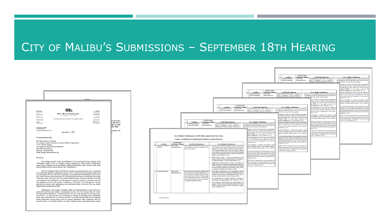## CITY OF MALIBU'S SUBMISSIONS - SEPTEMBER 18TH HEARING

| <b>Indian Wells</b><br><b>CENT BAK TALL</b>       |                                                                                                                                                                                                                                                                                                                                                                                                                                                                                                                                                                                                      | (951) 686-1480                     |               |
|---------------------------------------------------|------------------------------------------------------------------------------------------------------------------------------------------------------------------------------------------------------------------------------------------------------------------------------------------------------------------------------------------------------------------------------------------------------------------------------------------------------------------------------------------------------------------------------------------------------------------------------------------------------|------------------------------------|---------------|
| 1949-245-2800                                     | Best Best & Kriegere<br><b>ATTORNEYS AT LAW</b>                                                                                                                                                                                                                                                                                                                                                                                                                                                                                                                                                      | (918) 323-4000                     |               |
| <b>Los Angeles</b><br>ртавтике                    |                                                                                                                                                                                                                                                                                                                                                                                                                                                                                                                                                                                                      | <b>Eas Diego</b><br>(619) 525-1300 |               |
| <b>Manhatian Beach</b><br>(310) 643-8448          | 300 South Grand Avenue, 25th Floor, Los Angeles, CA 90071                                                                                                                                                                                                                                                                                                                                                                                                                                                                                                                                            | Walnut Creek<br>(828) 977-3300     | ersonnel thus |
| <b>Details</b><br><b>GEN SELSELS</b>              |                                                                                                                                                                                                                                                                                                                                                                                                                                                                                                                                                                                                      | Washington, DC<br>(303) TRIL-MOD   | e the City's  |
|                                                   |                                                                                                                                                                                                                                                                                                                                                                                                                                                                                                                                                                                                      |                                    | lity to work  |
| <b>Christine N. Wood</b><br>(213) 542-3861        |                                                                                                                                                                                                                                                                                                                                                                                                                                                                                                                                                                                                      |                                    | ity study.    |
| Christine Wood@bbklaw.com                         | September 14, 2021                                                                                                                                                                                                                                                                                                                                                                                                                                                                                                                                                                                   |                                    | holding this  |
|                                                   |                                                                                                                                                                                                                                                                                                                                                                                                                                                                                                                                                                                                      |                                    |               |
| <b>VIA FEFETBONIC MAIL</b>                        |                                                                                                                                                                                                                                                                                                                                                                                                                                                                                                                                                                                                      |                                    |               |
|                                                   |                                                                                                                                                                                                                                                                                                                                                                                                                                                                                                                                                                                                      |                                    |               |
| Dr. Cherise Moore, President                      | Los Angeles County Committee on School District Organization                                                                                                                                                                                                                                                                                                                                                                                                                                                                                                                                         |                                    |               |
| c/o Dr. Allison Deegan                            |                                                                                                                                                                                                                                                                                                                                                                                                                                                                                                                                                                                                      |                                    |               |
| Los Angeles County Office of Education            |                                                                                                                                                                                                                                                                                                                                                                                                                                                                                                                                                                                                      |                                    |               |
| 9300 Imperial Highway<br>Downey, California 90242 |                                                                                                                                                                                                                                                                                                                                                                                                                                                                                                                                                                                                      |                                    |               |
| Email: deegan allison@lacoe.edu                   |                                                                                                                                                                                                                                                                                                                                                                                                                                                                                                                                                                                                      |                                    |               |
|                                                   |                                                                                                                                                                                                                                                                                                                                                                                                                                                                                                                                                                                                      |                                    |               |
| Dr. Moore.                                        |                                                                                                                                                                                                                                                                                                                                                                                                                                                                                                                                                                                                      |                                    |               |
|                                                   | I am writing on behalf of the City of Malibu ("City") to provide the City's response to the<br>"Preliminary Report to the Los Angeles County Committee on School District Organization<br>Concerning a Proposal to Form the Malibu Unified School District from Territory in the Santa<br>Monica-Malibu Unified School District" (the "Staff Report").                                                                                                                                                                                                                                               |                                    |               |
|                                                   | The City is delighted that the Staff Report includes a recommendation to move our petition<br>forward into the standard reorganization process, and we hope the County Committee adopts that<br>recommendation. Even so, the City is moderately concerned about the Staff Report's focus on the<br>nine criteria and the assertion that the City's preliminary petition does not substantially meet eight<br>of the nine criteria. To be clear, the City's petition addresses many of the areas identified as missing                                                                                |                                    |               |
| addressed in its preliminary petition.            | or insufficient in the Staff Report, even though the City hopes to complete a feasibility study that<br>fully addresses all nine of the criteria. Nevertheless, in an effort to be thorough, the City has<br>provided the attached table highlighting with clarification which criteria the City has already                                                                                                                                                                                                                                                                                         |                                    |               |
|                                                   | Additionally, if the County Committee adopts the recommendation to move the City's<br>petition forward into the standard reorganization process, the City requests that the County<br>Committee advise the District-including its Board, executive staff, and school-site administrators<br>and teachers-to work with the City as it develops its conduct its feasibility study. Admittedly,<br>much of the information the City will need should be accessible through public records requests,<br>but the District has not been timely with City requests submitted to date. Furthermore, the City |                                    |               |
|                                                   | should be able to tour Malibu facilities and talk to Malibu teachers and administrators without                                                                                                                                                                                                                                                                                                                                                                                                                                                                                                      |                                    |               |

|                                                                                                                                                                                                                                                                                                                                                                           |                                                                                                                                                                                                                                                                                                                                                                                                                                                                                                                                                                                                                                                                                                                                                                                                                                                                                                                                                                                                                              |                                                                                                                                                                                                                                                                                                                                                                                                                                                                                                                                                                                               | <b>LACOE SIMPS</b><br><b>Condition</b><br><b>Preliminary Finding</b><br>3 Equitable division of<br><b>May Not Be</b><br>assets and liabilities.<br><b>Substantially Met</b>                                                                                                                                                                                                                                                                                  | <b>LACOE Staff's Rationale</b><br>Reorganization would require a division of  .<br>assets or liabilities; it is not possible to<br>determine the financial impact at this time,                                                                                                                                                                                                                                                                                                                           | <b>City of Malibu's Clarification</b><br>There will be an equitable division of assets and liabilities<br>as evidenced by the fact that this criteria was the only one<br>spon which the City and the District agreed.                                                                                                                                                                                                                                                                                                                     |
|---------------------------------------------------------------------------------------------------------------------------------------------------------------------------------------------------------------------------------------------------------------------------------------------------------------------------------------------------------------------------|------------------------------------------------------------------------------------------------------------------------------------------------------------------------------------------------------------------------------------------------------------------------------------------------------------------------------------------------------------------------------------------------------------------------------------------------------------------------------------------------------------------------------------------------------------------------------------------------------------------------------------------------------------------------------------------------------------------------------------------------------------------------------------------------------------------------------------------------------------------------------------------------------------------------------------------------------------------------------------------------------------------------------|-----------------------------------------------------------------------------------------------------------------------------------------------------------------------------------------------------------------------------------------------------------------------------------------------------------------------------------------------------------------------------------------------------------------------------------------------------------------------------------------------------------------------------------------------------------------------------------------------|--------------------------------------------------------------------------------------------------------------------------------------------------------------------------------------------------------------------------------------------------------------------------------------------------------------------------------------------------------------------------------------------------------------------------------------------------------------|-----------------------------------------------------------------------------------------------------------------------------------------------------------------------------------------------------------------------------------------------------------------------------------------------------------------------------------------------------------------------------------------------------------------------------------------------------------------------------------------------------------|--------------------------------------------------------------------------------------------------------------------------------------------------------------------------------------------------------------------------------------------------------------------------------------------------------------------------------------------------------------------------------------------------------------------------------------------------------------------------------------------------------------------------------------------|
|                                                                                                                                                                                                                                                                                                                                                                           |                                                                                                                                                                                                                                                                                                                                                                                                                                                                                                                                                                                                                                                                                                                                                                                                                                                                                                                                                                                                                              | <b>LACOE Staffs</b><br><b>Preliminary Finding</b><br><b>Condition</b><br><b>1</b> Equitable division of<br>May Not Be<br><b>Substantially Met</b><br>assets and liabilities.                                                                                                                                                                                                                                                                                                                                                                                                                  | <b>LACOE Staff's Rationale</b><br>Reorganization would require a division of e-<br>assets or liabilities; it is not possible to<br>determine the financial impact at this time,                                                                                                                                                                                                                                                                              | <b>City of Malibu's Clarification</b><br>There will be an equitable division of assets and liabilities<br>as evidenced by the fact that this criteria was the only one<br>upon which the City and the District agreed.                                                                                                                                                                                                                                                                                    | al property would be allocated based on geographic<br>in, financial resources would be allocated based on<br>and the debt (i.e. the COP) will be allocated to the<br>Monica USD as it was used to pay for its<br>istrative headquarters. (City's Petition, p. 113.)<br>oposed reorganization will not alter the attendance<br>tries of any school sites and, therefore, will not<br>the racial and ethnic composition of any schools.<br>Petition, p. 118.)                                                                                |
|                                                                                                                                                                                                                                                                                                                                                                           | <b>LACOE Staff's</b><br><b>Preliminary Finding</b><br><b>Condition</b><br>3 Equitable division of<br>May Not Be<br>assets and liabilities.<br><b>Substantially Met</b>                                                                                                                                                                                                                                                                                                                                                                                                                                                                                                                                                                                                                                                                                                                                                                                                                                                       | <b>LACOE Staff's Rationale</b><br>assets or liabilities; it is not possible to<br>determine the financial impact at this time.                                                                                                                                                                                                                                                                                                                                                                                                                                                                | <b>City of Malibu's Clarification</b><br>Reorganization would require a division of <b>c</b> There will be an equitable division of assets and liabilities<br>as evidenced by the fact that this criteria was the only one<br>mon which the City and the District agreed.<br>property would be allocated based on geographic<br>n. financial resources would be allocated based on                                                                           | erty would be allocated based on geographic<br>ancial resources would be allocated based on<br>ie debt (i.e. the COP) will be allocated to the<br>ca USD as it was used to pay for its<br>re headquarters. (City's Petition, p. 113.)<br>d reorganization will not alter the attendance<br>of any school sites and, therefore, will not<br>acial and ethnic composition of any schools.<br>on. p. 118.)<br>integration is required, the districts could<br>a errollment policy, or such policies could be | tional integration is required, the districts could<br>an open enrollment policy, or such policies could be<br>nted with other nearby districts. (City's Petition,<br>rojected that both districts would be basic aid post-<br>ization: however, if the future Santa Monica USD<br>ts community funded status, the City has committed<br>kfill the shortfall of taxes until they become basic aid.<br>Petition, p. 123.)<br>onally, the City's proposal does not recommend any<br>cilities but, instead, uses an existing school structure |
| <b>LACOE Staff's</b><br><b>Condition</b><br><b>Preliminary Finding</b><br>3 Equitable division of<br>May Not Be<br>assets and liabilities.<br><b>Substantially Met</b>                                                                                                                                                                                                    | <b>LACOE Staff's Rationale</b><br>Reorganization would require a division of  <br>assets or liabilities; it is not possible to<br>determine the financial impact at this time,                                                                                                                                                                                                                                                                                                                                                                                                                                                                                                                                                                                                                                                                                                                                                                                                                                               | <b>City of Malibu's Clarification</b><br>There will be an equitable division of assets and liabilities<br>as evidenced by the fact that this criteria was the only one<br>upon which the City and the District agreed.<br>perty would be allocated based on geographic<br>financial resources would be allocated based or<br>d the debt (i.e. the COP) will be allocated to the                                                                                                                                                                                                               | and the debt (i.e. the COP) will be allocated to the<br>Monica USD as it was used to pay for its<br>strative headquarters. (City's Petition, p. 113.)<br>oposed reorganization will not alter the attendance<br>tries of any school sites and, therefore, will not<br>the racial and ethnic composition of any schools.<br>Petition, p. 118.)<br>tional integration is required, the districts could<br>in open errollment policy, or such policies could be | with other nearby districts. (City's Petition,<br>d that both districts would be basic aid post-<br>in; however, if the future Santa Monica USD<br>unity funded status, the City has committed<br>shortfall of taxes until they become basic aid.<br>on. p. 123.)<br>the City's proposal does not recommend any<br>but, instead, uses an existing school structure                                                                                                                                        | se the administrative headquarters for the proposed<br>LISD. (City's Petition, p.123.)                                                                                                                                                                                                                                                                                                                                                                                                                                                     |
| City of Malibu's Clarifications to LACOE Staff's Analysis of the Nine Criteria<br>TABLE 1. SUMMARY OF CONDITIONS, FINDINGS, AND RATIONALE<br><b>LACOE Staff's</b>                                                                                                                                                                                                         |                                                                                                                                                                                                                                                                                                                                                                                                                                                                                                                                                                                                                                                                                                                                                                                                                                                                                                                                                                                                                              | onica USD as it was used to pay for it<br>ative headquarters. (City's Petition, p. 113.)<br>osed reorganization will not alter the attendance<br>es of any school sites and, therefore, will not<br>te racial and ethnic composition of any schools<br>filion, p. 118.)                                                                                                                                                                                                                                                                                                                       | ented with other nearby districts. (City's Petition,<br>piected that both districts would be basic aid nost-<br>ization; however, if the future Santa Monica USD<br>community funded status, the City has committed<br>fill the shortfall of taxes until they become basic aid.                                                                                                                                                                              | administrative headquarters for the proposed<br>(City's Petition, p.123.)                                                                                                                                                                                                                                                                                                                                                                                                                                 |                                                                                                                                                                                                                                                                                                                                                                                                                                                                                                                                            |
| <b>Condition</b><br><b>LACOE Staff's Rationale</b><br><b>Preliminary Finding</b><br>The resulting Malibu USD may not have, nor<br>Adequacy in number of<br>May Not Be<br>students.<br><b>Substantially Met</b><br>may be able to maintain, enrollment of at<br>least 1.501 students.<br>May Not Be<br>Because the area proposed for a Malibu USD<br>2 Community identity. | <b>City of Malibu's Clarification</b><br>The Ed Code's enrollment threshold is meant to ensure that<br>newly created direct service districts do not become more<br>dependent on county office of education and state support<br>The proposed Malibu USD would not become a direct<br>service district as it will be basic aid with sufficient funding<br>to hire staff to perform all necessary activities to operate the<br>District. (City's Petition, p. 107.)<br>School Services states, " local tax revenues that are the<br>primary support for basic aid school districts are insensitive<br>to student enrollment," (LACOE Staff Report, p. 18.)<br>Additionally, the District does not have any incentive to<br>address the decline in enrollment in Malibu schools because<br>it will continue to receive the same amount of property<br>taxes from Malibu regardless of enrollment. Hence, unless<br>we separate, enrollment will continue to suffer.<br>Santa Monica and Malibu are two geographically distinct | onal integration is required, the districts could<br>open enrollment policy, or such policies could be<br>ted with other nearby districts. (City's Petition<br>ected that both districts would be basic aid post<br>tion: however, if the future Santa Monica USD<br>munity funded status, the City has committed<br>the shortfall of taxes until they become basic aid<br>rtition, p. 123.)<br>ally, the City's proposal does not recommend any<br>ties but, instead, uses an existing school structure<br>the administrative headquarters for the proposed<br>SD. (City's Petition, p.123.) | Petition, p. 123.)<br>nally, the City's proposal does not recommend any<br>ilities but, instead, uses an existing school structure<br>se the administrative headquarters for the proposed<br>USD. (City's Petition, p.123.)                                                                                                                                                                                                                                  |                                                                                                                                                                                                                                                                                                                                                                                                                                                                                                           |                                                                                                                                                                                                                                                                                                                                                                                                                                                                                                                                            |
| has been a part of the SM-MUSD for 70+<br><b>Substantially Met</b><br>vears, and has sent students to Santa Monica<br>area schools for more than 100 years, they<br>have longstanding inclusion in SM-MUSD<br>and do not need to start a new school district<br>to establish community identity.                                                                          | communities with their own character and identity and have<br>separate local governance and different emergency service<br>providers (police and fire). (City's Petition, p. 109.)<br>The communities have separate Chambers of Commerce<br>vouth groups, and organizations. (City's Petition, p. 109.)<br>Even within the school district, the sports leagues are<br>separate. Malibu is in the CIF Southern Section Tri County<br>Athletic League and Santa Monica is in the Ocean League.<br>(City's Petition, p. 109.)                                                                                                                                                                                                                                                                                                                                                                                                                                                                                                   |                                                                                                                                                                                                                                                                                                                                                                                                                                                                                                                                                                                               |                                                                                                                                                                                                                                                                                                                                                                                                                                                              |                                                                                                                                                                                                                                                                                                                                                                                                                                                                                                           |                                                                                                                                                                                                                                                                                                                                                                                                                                                                                                                                            |
| 65273.00303\34350546.1                                                                                                                                                                                                                                                                                                                                                    |                                                                                                                                                                                                                                                                                                                                                                                                                                                                                                                                                                                                                                                                                                                                                                                                                                                                                                                                                                                                                              |                                                                                                                                                                                                                                                                                                                                                                                                                                                                                                                                                                                               |                                                                                                                                                                                                                                                                                                                                                                                                                                                              |                                                                                                                                                                                                                                                                                                                                                                                                                                                                                                           |                                                                                                                                                                                                                                                                                                                                                                                                                                                                                                                                            |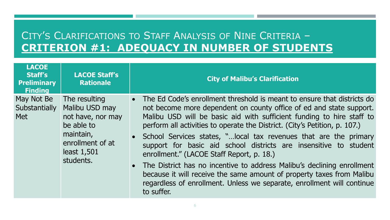#### CITY'S CLARIFICATIONS TO STAFF ANALYSIS OF NINE CRITERIA – **CRITERION #1: ADEQUACY IN NUMBER OF STUDENTS**

| <b>LACOE</b><br><b>Staff's</b><br><b>Preliminary</b><br><b>Finding</b> | <b>LACOE Staff's</b><br><b>Rationale</b>                                                                                        | <b>City of Malibu's Clarification</b>                                                                                                                                                                                                                                                                                                                                                                                                                                                                                                                                                                                                                                                                                                                  |
|------------------------------------------------------------------------|---------------------------------------------------------------------------------------------------------------------------------|--------------------------------------------------------------------------------------------------------------------------------------------------------------------------------------------------------------------------------------------------------------------------------------------------------------------------------------------------------------------------------------------------------------------------------------------------------------------------------------------------------------------------------------------------------------------------------------------------------------------------------------------------------------------------------------------------------------------------------------------------------|
| May Not Be<br>Substantially<br><b>Met</b>                              | The resulting<br>Malibu USD may<br>not have, nor may<br>be able to<br>maintain,<br>enrollment of at<br>least 1,501<br>students. | The Ed Code's enrollment threshold is meant to ensure that districts do<br>$\bullet$<br>not become more dependent on county office of ed and state support.<br>Malibu USD will be basic aid with sufficient funding to hire staff to<br>perform all activities to operate the District. (City's Petition, p. 107.)<br>School Services states, " local tax revenues that are the primary<br>support for basic aid school districts are insensitive to student<br>enrollment." (LACOE Staff Report, p. 18.)<br>• The District has no incentive to address Malibu's declining enrollment<br>because it will receive the same amount of property taxes from Malibu<br>regardless of enrollment. Unless we separate, enrollment will continue<br>to suffer. |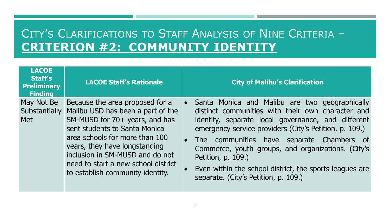# CITY'S CLARIFICATIONS TO STAFF ANALYSIS OF NINE CRITERIA – **CRITERION #2: COMMUNITY IDENTITY**

| <b>LACOE</b><br><b>Staff's</b><br><b>Preliminary</b><br><b>Finding</b> | <b>LACOE Staff's Rationale</b>                                                                                                                                                                                                                                                                                           | <b>City of Malibu's Clarification</b>                                                                                                                                                                                                                                                                                                                                                                                                                                    |
|------------------------------------------------------------------------|--------------------------------------------------------------------------------------------------------------------------------------------------------------------------------------------------------------------------------------------------------------------------------------------------------------------------|--------------------------------------------------------------------------------------------------------------------------------------------------------------------------------------------------------------------------------------------------------------------------------------------------------------------------------------------------------------------------------------------------------------------------------------------------------------------------|
| May Not Be<br><b>Substantially</b><br>Met                              | Because the area proposed for a<br>Malibu USD has been a part of the<br>SM-MUSD for 70+ years, and has<br>sent students to Santa Monica<br>area schools for more than 100<br>years, they have longstanding<br>inclusion in SM-MUSD and do not<br>need to start a new school district<br>to establish community identity. | Santa Monica and Malibu are two geographically<br><b>O</b><br>distinct communities with their own character and<br>identity, separate local governance, and different<br>emergency service providers (City's Petition, p. 109.)<br>The communities have separate Chambers of<br>$\bullet$<br>Commerce, youth groups, and organizations. (City's<br>Petition, p. 109.)<br>Even within the school district, the sports leagues are<br>separate. (City's Petition, p. 109.) |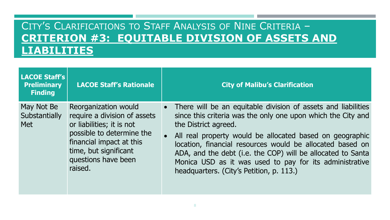### CITY'S CLARIFICATIONS TO STAFF ANALYSIS OF NINE CRITERIA – **CRITERION #3: EQUITABLE DIVISION OF ASSETS AND LIABILITIES**

| <b>LACOE Staff's</b><br><b>Preliminary</b><br><b>Finding</b> | <b>LACOE Staff's Rationale</b>                                                                                                                                                                        | <b>City of Malibu's Clarification</b>                                                                                                                                                                                                                                                                                                                                                                                                                    |
|--------------------------------------------------------------|-------------------------------------------------------------------------------------------------------------------------------------------------------------------------------------------------------|----------------------------------------------------------------------------------------------------------------------------------------------------------------------------------------------------------------------------------------------------------------------------------------------------------------------------------------------------------------------------------------------------------------------------------------------------------|
| May Not Be<br>Substantially<br><b>Met</b>                    | Reorganization would<br>require a division of assets<br>or liabilities; it is not<br>possible to determine the<br>financial impact at this<br>time, but significant<br>questions have been<br>raised. | • There will be an equitable division of assets and liabilities<br>since this criteria was the only one upon which the City and<br>the District agreed.<br>• All real property would be allocated based on geographic<br>location, financial resources would be allocated based on<br>ADA, and the debt (i.e. the COP) will be allocated to Santa<br>Monica USD as it was used to pay for its administrative<br>headquarters. (City's Petition, p. 113.) |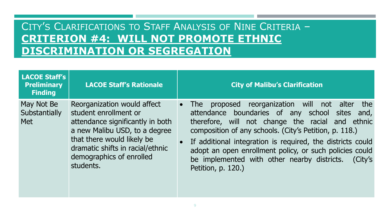### CITY'S CLARIFICATIONS TO STAFF ANALYSIS OF NINE CRITERIA – **CRITERION #4: WILL NOT PROMOTE ETHNIC DISCRIMINATION OR SEGREGATION**

| <b>LACOE Staff's</b><br><b>Preliminary</b><br><b>Finding</b> | <b>LACOE Staff's Rationale</b>                                                                                                                                                                                                       | <b>City of Malibu's Clarification</b>                                                                                                                                                                                                                                                                                                                                                                                            |
|--------------------------------------------------------------|--------------------------------------------------------------------------------------------------------------------------------------------------------------------------------------------------------------------------------------|----------------------------------------------------------------------------------------------------------------------------------------------------------------------------------------------------------------------------------------------------------------------------------------------------------------------------------------------------------------------------------------------------------------------------------|
| May Not Be<br>Substantially<br><b>Met</b>                    | Reorganization would affect<br>student enrollment or<br>attendance significantly in both<br>a new Malibu USD, to a degree<br>that there would likely be<br>dramatic shifts in racial/ethnic<br>demographics of enrolled<br>students. | proposed reorganization will<br>the<br>not alter<br>The<br>attendance boundaries of any school sites and,<br>therefore, will not change the racial and ethnic<br>composition of any schools. (City's Petition, p. 118.)<br>If additional integration is required, the districts could<br>adopt an open enrollment policy, or such policies could<br>be implemented with other nearby districts.<br>(City's<br>Petition, p. 120.) |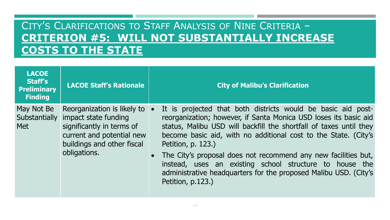### CITY'S CLARIFICATIONS TO STAFF ANALYSIS OF NINE CRITERIA – **CRITERION #5: WILL NOT SUBSTANTIALLY INCREASE COSTS TO THE STATE**

| <b>LACOE</b><br><b>Staff's</b><br><b>Preliminary</b><br><b>Finding</b> | <b>LACOE Staff's Rationale</b>                                                                                                                                            | <b>City of Malibu's Clarification</b>                                                                                                                                                                                                                                                                                                                                                                                                                                                                                 |
|------------------------------------------------------------------------|---------------------------------------------------------------------------------------------------------------------------------------------------------------------------|-----------------------------------------------------------------------------------------------------------------------------------------------------------------------------------------------------------------------------------------------------------------------------------------------------------------------------------------------------------------------------------------------------------------------------------------------------------------------------------------------------------------------|
| May Not Be<br><b>Met</b>                                               | Reorganization is likely to<br>Substantially impact state funding<br>significantly in terms of<br>current and potential new<br>buildings and other fiscal<br>obligations. | It is projected that both districts would be basic aid post-<br>reorganization; however, if Santa Monica USD loses its basic aid<br>status, Malibu USD will backfill the shortfall of taxes until they<br>become basic aid, with no additional cost to the State. (City's<br>Petition, p. 123.)<br>The City's proposal does not recommend any new facilities but,<br>instead, uses an existing school structure to house the<br>administrative headquarters for the proposed Malibu USD. (City's<br>Petition, p.123.) |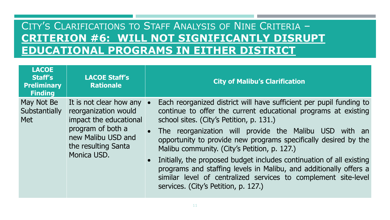### CITY'S CLARIFICATIONS TO STAFF ANALYSIS OF NINE CRITERIA – **CRITERION #6: WILL NOT SIGNIFICANTLY DISRUPT EDUCATIONAL PROGRAMS IN EITHER DISTRICT**

| <b>LACOE</b><br><b>Staff's</b><br><b>Preliminary</b><br><b>Finding</b> | <b>LACOE Staff's</b><br><b>Rationale</b>                                                                                                                             | <b>City of Malibu's Clarification</b>                                                                                                                                                                                                                                                                                                                                                                                                                                                                                                                                                                                   |
|------------------------------------------------------------------------|----------------------------------------------------------------------------------------------------------------------------------------------------------------------|-------------------------------------------------------------------------------------------------------------------------------------------------------------------------------------------------------------------------------------------------------------------------------------------------------------------------------------------------------------------------------------------------------------------------------------------------------------------------------------------------------------------------------------------------------------------------------------------------------------------------|
| May Not Be<br>Substantially<br><b>Met</b>                              | It is not clear how any $\bullet$<br>reorganization would<br>impact the educational<br>program of both a<br>new Malibu USD and<br>the resulting Santa<br>Monica USD. | Each reorganized district will have sufficient per pupil funding to<br>continue to offer the current educational programs at existing<br>school sites. (City's Petition, p. 131.)<br>• The reorganization will provide the Malibu USD with an<br>opportunity to provide new programs specifically desired by the<br>Malibu community. (City's Petition, p. 127.)<br>Initially, the proposed budget includes continuation of all existing<br>programs and staffing levels in Malibu, and additionally offers a<br>similar level of centralized services to complement site-level<br>services. (City's Petition, p. 127.) |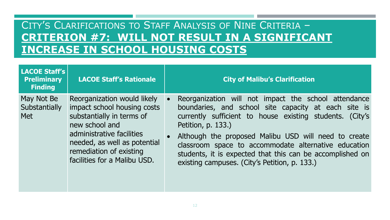### CITY'S CLARIFICATIONS TO STAFF ANALYSIS OF NINE CRITERIA – **CRITERION #7: WILL NOT RESULT IN A SIGNIFICANT INCREASE IN SCHOOL HOUSING COSTS**

| <b>LACOE Staff's</b><br><b>Preliminary</b><br><b>Finding</b> | <b>LACOE Staff's Rationale</b>                                                                                                                                                                                                    | <b>City of Malibu's Clarification</b>                                                                                                                                                                                                                                                                                                                                                                                        |
|--------------------------------------------------------------|-----------------------------------------------------------------------------------------------------------------------------------------------------------------------------------------------------------------------------------|------------------------------------------------------------------------------------------------------------------------------------------------------------------------------------------------------------------------------------------------------------------------------------------------------------------------------------------------------------------------------------------------------------------------------|
| May Not Be<br>Substantially<br><b>Met</b>                    | Reorganization would likely<br>impact school housing costs<br>substantially in terms of<br>new school and<br>administrative facilities<br>needed, as well as potential<br>remediation of existing<br>facilities for a Malibu USD. | Reorganization will not impact the school attendance<br>boundaries, and school site capacity at each site is<br>currently sufficient to house existing students. (City's<br>Petition, p. 133.)<br>Although the proposed Malibu USD will need to create<br>classroom space to accommodate alternative education<br>students, it is expected that this can be accomplished on<br>existing campuses. (City's Petition, p. 133.) |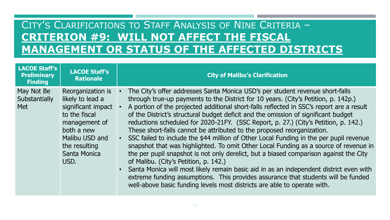## CITY'S CLARIFICATIONS TO STAFF ANALYSIS OF NINE CRITERIA – **CRITERION #9: WILL NOT AFFECT THE FISCAL MANAGEMENT OR STATUS OF THE AFFECTED DISTRICTS**

| <b>LACOE Staff's</b><br><b>Preliminary</b><br><b>Finding</b> | <b>LACOE Staff's</b><br><b>Rationale</b>                                                                                                                               | <b>City of Malibu's Clarification</b>                                                                                                                                                                                                                                                                                                                                                                                                                                                                                                                                                                                                                                                                                                                                                                                                                                                                                                                                                                                                                                                                 |
|--------------------------------------------------------------|------------------------------------------------------------------------------------------------------------------------------------------------------------------------|-------------------------------------------------------------------------------------------------------------------------------------------------------------------------------------------------------------------------------------------------------------------------------------------------------------------------------------------------------------------------------------------------------------------------------------------------------------------------------------------------------------------------------------------------------------------------------------------------------------------------------------------------------------------------------------------------------------------------------------------------------------------------------------------------------------------------------------------------------------------------------------------------------------------------------------------------------------------------------------------------------------------------------------------------------------------------------------------------------|
| May Not Be<br>Substantially<br><b>Met</b>                    | Reorganization is<br>likely to lead a<br>significant impact<br>to the fiscal<br>management of<br>both a new<br>Malibu USD and<br>the resulting<br>Santa Monica<br>USD. | The City's offer addresses Santa Monica USD's per student revenue short-falls<br>through true-up payments to the District for 10 years. (City's Petition, p. 142p.)<br>A portion of the projected additional short-falls reflected in SSC's report are a result<br>of the District's structural budget deficit and the omission of significant budget<br>reductions scheduled for 2020-21FY. (SSC Report, p. 27.) (City's Petition, p. 142.)<br>These short-falls cannot be attributed to the proposed reorganization.<br>SSC failed to include the \$44 million of Other Local Funding in the per pupil revenue<br>snapshot that was highlighted. To omit Other Local Funding as a source of revenue in<br>the per pupil snapshot is not only derelict, but a biased comparison against the City<br>of Malibu. (City's Petition, p. 142.)<br>Santa Monica will most likely remain basic aid in as an independent district even with<br>extreme funding assumptions. This provides assurance that students will be funded<br>well-above basic funding levels most districts are able to operate with. |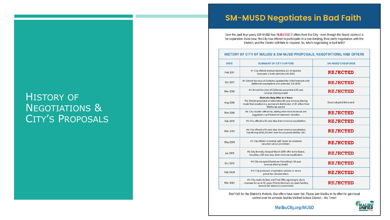#### **SM-MUSD Negotiates in Bad Faith**

Over the past four years, SM-MUSD has REJECTED 11 offers from the City-even though the Board claims it is for separation. Even now, the City has offered to participate in a non-binding, third party negotiation with the District, and the District still fails to respond. So, who's negotiating in bad faith?

#### HISTORY OF CITY OF MALIBU & SM-MUSD PROPOSALS, NEGOTIATIONS, AND OFFERS

| <b>DATE</b> | <b>SUMMARY OF CITY'S OFFERS</b>                                                                                                                                                                | <b>SM-MUSD'S RESPONSE</b> |
|-------------|------------------------------------------------------------------------------------------------------------------------------------------------------------------------------------------------|---------------------------|
| Feb 2017    | #1: City offered revenue neutrality (i.e. to equalize<br>revenues) in both districts until 2030.                                                                                               | <b>REJECTED</b>           |
| Oct 2017    | #2: School Services of California updated the initial forecasts with<br>additional assumptions and extended it to 2033.                                                                        | REJECTED                  |
| Mar 2018    | #3: School Services of California presented a 50-year<br>revenue sharing model.                                                                                                                | <b>REJECTED</b>           |
| Aug 2018    | District's Only Offer in 4 Years<br>The District presented an alternative 50-year revenue sharing<br>model that resulted in a permanent distribution of \$4 billion from<br>Malibu tax payers. | Board adopted this model  |
| Nov 2018    | #4: City counter-offered by adding other local revenues and<br>suggested a split based on assessed valuation.                                                                                  | <b>REJECTED</b>           |
| Feb 2019    | #5: City offered a 20-year step down revenue equalization.                                                                                                                                     | <b>REJECTED</b>           |
| Mar 2019    | #6: City offered a 50-year step down revenue equalization,<br>transferring \$650,250,960 from the proposed Malibu USD.                                                                         | <b>REJECTED</b>           |
| May 2019    | #7: City offered a revenue split based on assessed<br>valuation versus enrollment.                                                                                                             | <b>REJECTED</b>           |
| Jun 2019    | #8: City formally reissued March 2019 offer to the Board,<br>including a 50-year step down revenue equalization.                                                                               | <b>REJECTED</b>           |
| Oct 2019    | #9: City accepted Eastshore Consulting's 50-year<br>revenue sharing model.                                                                                                                     | <b>REJECTED</b>           |
| Feb 2020    | #10: City proposed a legislative solution to insure<br>parcel tax remains intact.                                                                                                              | <b>REJECTED</b>           |
| Mar 2021    | #11: City made its Best and Final Offer, agreeing to share<br>revenues for up to 10 years if Santa Monica's per pupil funding<br>were to fall below its current level.                         | <b>REJECTED</b>           |

Don't fall for the District's rhetoric. Our offers have been fair. Please join Malibu in its effort to gain local control over its schools. Malibu Unified School District---It's Time!!

#### **HISTORY OF NEGOTIATIONS &** CITY'S PROPOSALS



MalibuCity.org/MUSD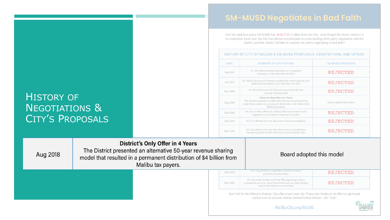#### **SM-MUSD Negotiates in Bad Faith**

Over the past four years, SM-MUSD has REJECTED 11 offers from the City-even though the Board claims it is for separation. Even now, the City has offered to participate in a non-binding, third party negotiation with the District, and the District still fails to respond. So, who's negotiating in bad faith?

| <b>HISTORY OF CITY OF MALIBU &amp; SM-MUSD PROPOSALS, NEGOTIATIONS, AND OFFERS</b> |  |
|------------------------------------------------------------------------------------|--|
|------------------------------------------------------------------------------------|--|

| <b>DATE</b> | <b>SUMMARY OF CITY'S OFFERS</b>                                                                                                                                                                | <b>SM-MUSD'S RESPONSE</b> |
|-------------|------------------------------------------------------------------------------------------------------------------------------------------------------------------------------------------------|---------------------------|
| Feb 2017    | #1: City offered revenue neutrality (i.e. to equalize<br>revenues) in both districts until 2030.                                                                                               | REJECTED                  |
| Oct 2017    | #2: School Services of California updated the initial forecasts with<br>additional assumptions and extended it to 2033.                                                                        | REJECTED                  |
| Mar 2018    | #3: School Services of California presented a 50-year<br>revenue sharing model.                                                                                                                | REJECTED                  |
| Aug 2018    | District's Only Offer in 4 Years<br>The District presented an alternative 50-year revenue sharing<br>model that resulted in a permanent distribution of \$4 billion from<br>Malibu tax payers. | Board adopted this model  |
| Nov 2018    | #4: City counter-offered by adding other local revenues and<br>suggested a split based on assessed valuation.                                                                                  | REJECTED                  |
| Feb 2019    | #5: City offered a 20-year step down revenue equalization.                                                                                                                                     | REJECTED                  |
| Mar 2019    | #6: City offered a 50-year step down revenue equalization,<br>transferring \$650,250,960 from the proposed Malibu USD.                                                                         | REJECTED                  |

#### HISTORY OF NEGOTIATIONS & CITY'S PROPOSALS

| Aug 2018 | <b>District's Only Offer in 4 Years</b><br>The District presented an alternative 50-year revenue sharing<br>model that resulted in a permanent distribution of \$4 billion from<br>Malibu tax payers. |          | Board adopted this model                                                                                                                                                                     |          |  |
|----------|-------------------------------------------------------------------------------------------------------------------------------------------------------------------------------------------------------|----------|----------------------------------------------------------------------------------------------------------------------------------------------------------------------------------------------|----------|--|
|          |                                                                                                                                                                                                       | Feb 2020 | #10: City proposed a legislative solution to insure<br>parcel tax remains intact.                                                                                                            | REJECTED |  |
|          |                                                                                                                                                                                                       | Mar 2021 | #11: City made its Best and Final Offer, agreeing to share<br>revenues for up to 10 years if Santa Monica's per pupil funding<br>were to fall below its current level.                       | REJECTED |  |
|          |                                                                                                                                                                                                       |          | Don't fall for the District's rhetoric. Our offers have been fair. Please join Malibu in its effort to gain local<br>control over its schools. Malibu Unified School District----It's Time!! |          |  |
|          |                                                                                                                                                                                                       |          | MalibuCity.org/MUSD                                                                                                                                                                          |          |  |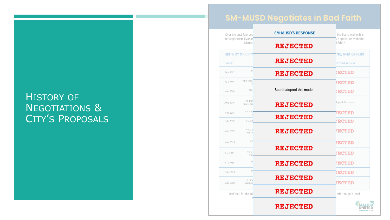#### HISTORY OF NEGOTIATIONS & CITY'S PROPOSALS

#### **SM-MUSD Negotiates in Bad Faith**

| Over the past four yea<br>for separation. Even n | <b>SM-MUSD'S RESPONSE</b>       | the Board claims it is<br>y negotiation with the |
|--------------------------------------------------|---------------------------------|--------------------------------------------------|
| <b>District</b>                                  | <b>REJECTED</b>                 | d faith?                                         |
| <b>HISTORY OF CITY</b>                           |                                 | <b>NS, AND OFFERS</b>                            |
| <b>DATE</b>                                      | <b>REJECTED</b>                 | <b>SD'S RESPONSE</b>                             |
| Feb 2017                                         | #1<br><b>REJECTED</b>           | <b>JECTED</b>                                    |
| #2: School<br>Oct 2017                           | a                               | ECTED                                            |
| Mar 2018                                         | Board adopted this model<br>#3: | <b>ECTED</b>                                     |
| The Dist<br>Aug 2018<br>model tha                | <b>REMECTED</b>                 | dopted this model                                |
| #4: City<br>Nov 2018                             | <b>REJECTED</b>                 | ECTED                                            |
| #5: Cit<br>Feb 2019                              |                                 | <b>ECTED</b>                                     |
| #6: Cit<br>Mar 2019<br>transfe                   | <b>REJECTED</b>                 | <b>IECTED</b>                                    |
| May 2019                                         | #7<br><b>REJECTED</b>           | <b>JECTED</b>                                    |
| #8: C<br>Jun 2019                                | incl                            | <b>IECTED</b>                                    |
| Oct 2019                                         | #9<br><b>REJECTED</b>           | <b>ECTED</b>                                     |
| Feb 2020                                         | #1                              | <b>ECTED</b>                                     |
| #11: C<br>Mar 2021<br>revenues                   | <b>REJECTED</b>                 | <b>IECTED</b>                                    |
| Don't fall for the Dis                           | <b>REJECTED</b>                 | effort to gain local                             |
|                                                  | <b>REJECTED</b>                 |                                                  |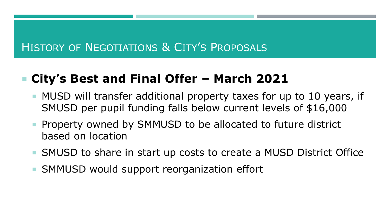# HISTORY OF NEGOTIATIONS & CITY'S PROPOSALS

# **City's Best and Final Offer – March 2021**

- **MUSD** will transfer additional property taxes for up to 10 years, if SMUSD per pupil funding falls below current levels of \$16,000
- **Property owned by SMMUSD to be allocated to future district** based on location
- SMUSD to share in start up costs to create a MUSD District Office
- SMMUSD would support reorganization effort